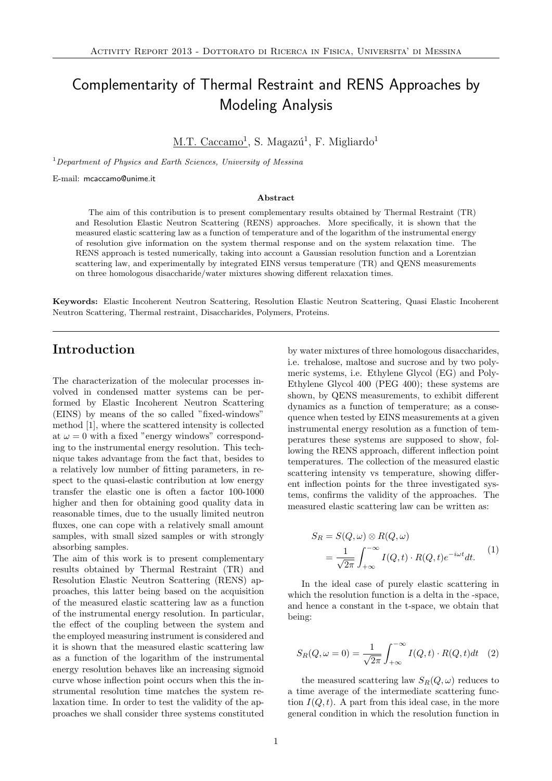# Complementarity of Thermal Restraint and RENS Approaches by Modeling Analysis

M.T. Caccamo<sup>1</sup>, S. Magazú<sup>1</sup>, F. Migliardo<sup>1</sup>

 $1$ Department of Physics and Earth Sciences, University of Messina

E-mail: mcaccamo@unime.it

#### Abstract

The aim of this contribution is to present complementary results obtained by Thermal Restraint (TR) and Resolution Elastic Neutron Scattering (RENS) approaches. More specifically, it is shown that the measured elastic scattering law as a function of temperature and of the logarithm of the instrumental energy of resolution give information on the system thermal response and on the system relaxation time. The RENS approach is tested numerically, taking into account a Gaussian resolution function and a Lorentzian scattering law, and experimentally by integrated EINS versus temperature (TR) and QENS measurements on three homologous disaccharide/water mixtures showing different relaxation times.

Keywords: Elastic Incoherent Neutron Scattering, Resolution Elastic Neutron Scattering, Quasi Elastic Incoherent Neutron Scattering, Thermal restraint, Disaccharides, Polymers, Proteins.

### Introduction

The characterization of the molecular processes involved in condensed matter systems can be performed by Elastic Incoherent Neutron Scattering (EINS) by means of the so called "fixed-windows" method [1], where the scattered intensity is collected at  $\omega = 0$  with a fixed "energy windows" corresponding to the instrumental energy resolution. This technique takes advantage from the fact that, besides to a relatively low number of fitting parameters, in respect to the quasi-elastic contribution at low energy transfer the elastic one is often a factor 100-1000 higher and then for obtaining good quality data in reasonable times, due to the usually limited neutron fluxes, one can cope with a relatively small amount samples, with small sized samples or with strongly absorbing samples.

The aim of this work is to present complementary results obtained by Thermal Restraint (TR) and Resolution Elastic Neutron Scattering (RENS) approaches, this latter being based on the acquisition of the measured elastic scattering law as a function of the instrumental energy resolution. In particular, the effect of the coupling between the system and the employed measuring instrument is considered and it is shown that the measured elastic scattering law as a function of the logarithm of the instrumental energy resolution behaves like an increasing sigmoid curve whose inflection point occurs when this the instrumental resolution time matches the system relaxation time. In order to test the validity of the approaches we shall consider three systems constituted by water mixtures of three homologous disaccharides, i.e. trehalose, maltose and sucrose and by two polymeric systems, i.e. Ethylene Glycol (EG) and Poly-Ethylene Glycol 400 (PEG 400); these systems are shown, by QENS measurements, to exhibit different dynamics as a function of temperature; as a consequence when tested by EINS measurements at a given instrumental energy resolution as a function of temperatures these systems are supposed to show, following the RENS approach, different inflection point temperatures. The collection of the measured elastic scattering intensity vs temperature, showing different inflection points for the three investigated systems, confirms the validity of the approaches. The measured elastic scattering law can be written as:

$$
S_R = S(Q, \omega) \otimes R(Q, \omega)
$$
  
= 
$$
\frac{1}{\sqrt{2\pi}} \int_{+\infty}^{-\infty} I(Q, t) \cdot R(Q, t) e^{-i\omega t} dt.
$$
 (1)

In the ideal case of purely elastic scattering in which the resolution function is a delta in the -space, and hence a constant in the t-space, we obtain that being:

$$
S_R(Q,\omega=0) = \frac{1}{\sqrt{2\pi}} \int_{+\infty}^{-\infty} I(Q,t) \cdot R(Q,t)dt \quad (2)
$$

the measured scattering law  $S_R(Q, \omega)$  reduces to a time average of the intermediate scattering function  $I(Q, t)$ . A part from this ideal case, in the more general condition in which the resolution function in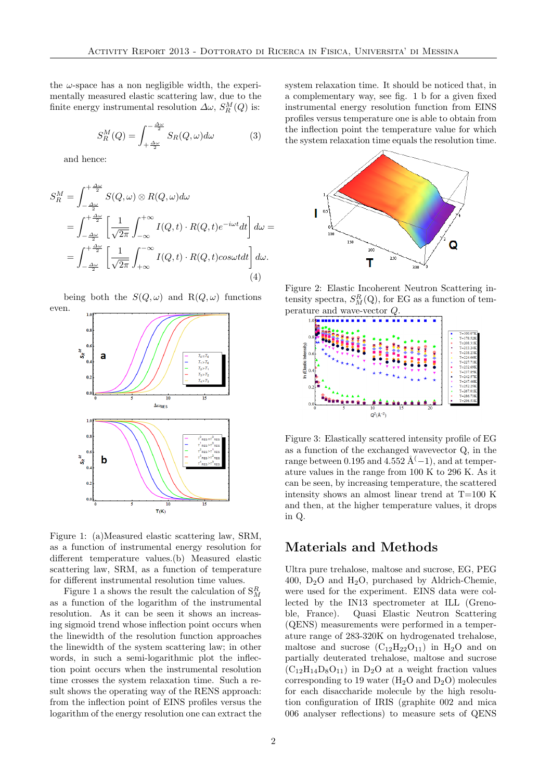the  $\omega$ -space has a non negligible width, the experimentally measured elastic scattering law, due to the finite energy instrumental resolution  $\Delta\omega$ ,  $S_R^M(Q)$  is:

$$
S_R^M(Q) = \int_{+\frac{\Delta\omega}{2}}^{-\frac{\Delta\omega}{2}} S_R(Q,\omega) d\omega \tag{3}
$$

and hence:

even.

$$
S_R^M = \int_{-\frac{\Delta\omega}{2}}^{\frac{\Delta\omega}{2}} S(Q,\omega) \otimes R(Q,\omega) d\omega
$$
  
= 
$$
\int_{-\frac{\Delta\omega}{2}}^{\frac{\Delta\omega}{2}} \left[ \frac{1}{\sqrt{2\pi}} \int_{-\infty}^{+\infty} I(Q,t) \cdot R(Q,t) e^{-i\omega t} dt \right] d\omega =
$$
  
= 
$$
\int_{-\frac{\Delta\omega}{2}}^{\frac{\Delta\omega}{2}} \left[ \frac{1}{\sqrt{2\pi}} \int_{+\infty}^{-\infty} I(Q,t) \cdot R(Q,t) cos \omega t dt \right] d\omega.
$$
  
(4)

being both the  $S(Q, \omega)$  and  $R(Q, \omega)$  functions



Figure 1: (a)Measured elastic scattering law, SRM, as a function of instrumental energy resolution for different temperature values.(b) Measured elastic scattering law, SRM, as a function of temperature for different instrumental resolution time values.

Figure 1 a shows the result the calculation of  $S^R_M$ as a function of the logarithm of the instrumental resolution. As it can be seen it shows an increasing sigmoid trend whose inflection point occurs when the linewidth of the resolution function approaches the linewidth of the system scattering law; in other words, in such a semi-logarithmic plot the inflection point occurs when the instrumental resolution time crosses the system relaxation time. Such a result shows the operating way of the RENS approach: from the inflection point of EINS profiles versus the logarithm of the energy resolution one can extract the system relaxation time. It should be noticed that, in a complementary way, see fig. 1 b for a given fixed instrumental energy resolution function from EINS profiles versus temperature one is able to obtain from the inflection point the temperature value for which the system relaxation time equals the resolution time.



Figure 2: Elastic Incoherent Neutron Scattering intensity spectra,  $S_M^R(Q)$ , for EG as a function of temperature and wave-vector Q.



Figure 3: Elastically scattered intensity profile of EG as a function of the exchanged wavevector Q, in the range between 0.195 and 4.552 Å<sup>(</sup>−1), and at temperature values in the range from 100 K to 296 K. As it can be seen, by increasing temperature, the scattered intensity shows an almost linear trend at T=100 K and then, at the higher temperature values, it drops in Q.

#### Materials and Methods

Ultra pure trehalose, maltose and sucrose, EG, PEG 400,  $D_2O$  and  $H_2O$ , purchased by Aldrich-Chemie, were used for the experiment. EINS data were collected by the IN13 spectrometer at ILL (Grenoble, France). Quasi Elastic Neutron Scattering (QENS) measurements were performed in a temperature range of 283-320K on hydrogenated trehalose, maltose and sucrose  $(C_{12}H_{22}O_{11})$  in  $H_2O$  and on partially deuterated trehalose, maltose and sucrose  $(C_{12}H_{14}D_8O_{11})$  in  $D_2O$  at a weight fraction values corresponding to 19 water  $(H_2O \text{ and } D_2O)$  molecules for each disaccharide molecule by the high resolution configuration of IRIS (graphite 002 and mica 006 analyser reflections) to measure sets of QENS